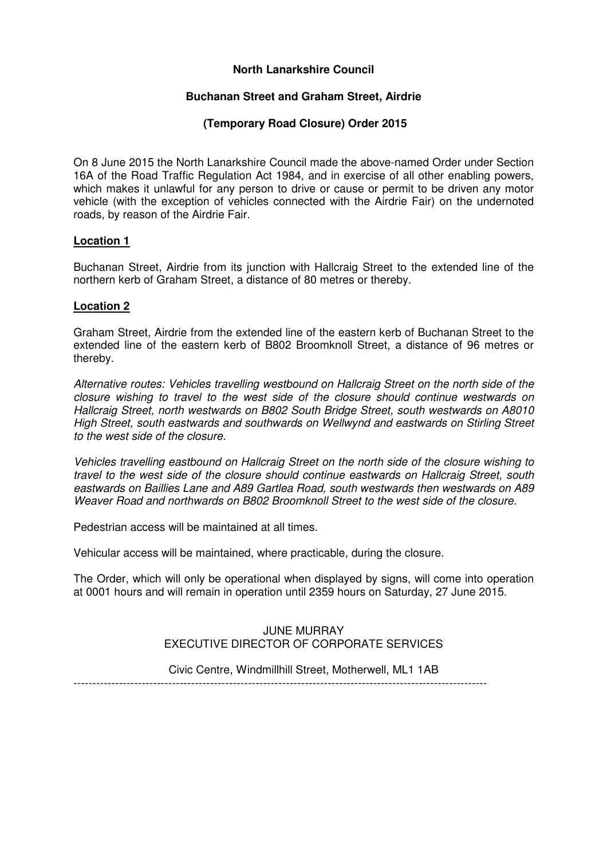# **North Lanarkshire Council**

### **Buchanan Street and Graham Street, Airdrie**

# **(Temporary Road Closure) Order 2015**

On 8 June 2015 the North Lanarkshire Council made the above-named Order under Section 16A of the Road Traffic Regulation Act 1984, and in exercise of all other enabling powers, which makes it unlawful for any person to drive or cause or permit to be driven any motor vehicle (with the exception of vehicles connected with the Airdrie Fair) on the undernoted roads, by reason of the Airdrie Fair.

### **Location 1**

Buchanan Street, Airdrie from its junction with Hallcraig Street to the extended line of the northern kerb of Graham Street, a distance of 80 metres or thereby.

# **Location 2**

Graham Street, Airdrie from the extended line of the eastern kerb of Buchanan Street to the extended line of the eastern kerb of B802 Broomknoll Street, a distance of 96 metres or thereby.

Alternative routes: Vehicles travelling westbound on Hallcraig Street on the north side of the closure wishing to travel to the west side of the closure should continue westwards on Hallcraig Street, north westwards on B802 South Bridge Street, south westwards on A8010 High Street, south eastwards and southwards on Wellwynd and eastwards on Stirling Street to the west side of the closure.

Vehicles travelling eastbound on Hallcraig Street on the north side of the closure wishing to travel to the west side of the closure should continue eastwards on Hallcraig Street, south eastwards on Baillies Lane and A89 Gartlea Road, south westwards then westwards on A89 Weaver Road and northwards on B802 Broomknoll Street to the west side of the closure.

Pedestrian access will be maintained at all times.

Vehicular access will be maintained, where practicable, during the closure.

The Order, which will only be operational when displayed by signs, will come into operation at 0001 hours and will remain in operation until 2359 hours on Saturday, 27 June 2015.

#### JUNE MURRAY EXECUTIVE DIRECTOR OF CORPORATE SERVICES

Civic Centre, Windmillhill Street, Motherwell, ML1 1AB

-------------------------------------------------------------------------------------------------------------